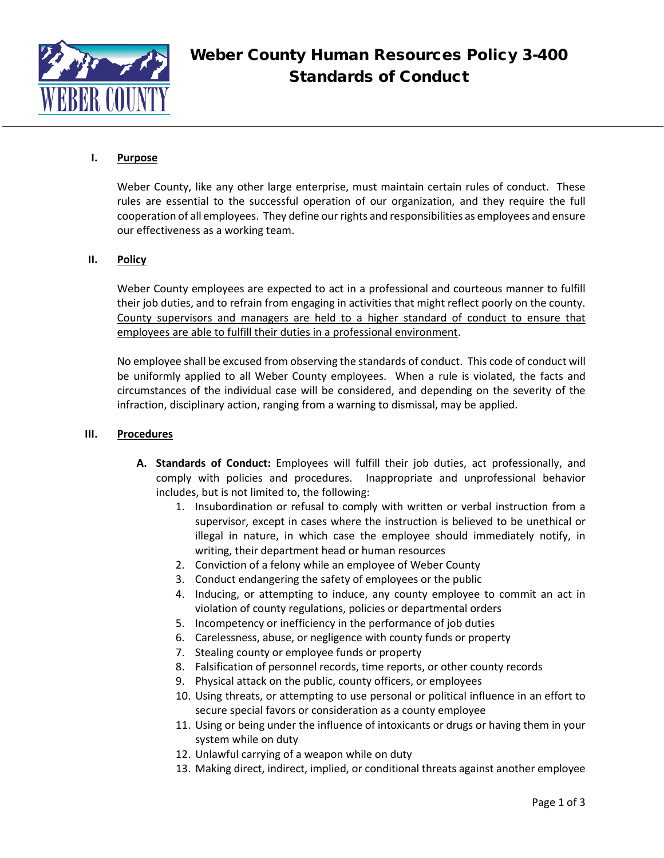

## **I. Purpose**

Weber County, like any other large enterprise, must maintain certain rules of conduct. These rules are essential to the successful operation of our organization, and they require the full cooperation of all employees. They define our rights and responsibilities as employees and ensure our effectiveness as a working team.

## **II. Policy**

Weber County employees are expected to act in a professional and courteous manner to fulfill their job duties, and to refrain from engaging in activities that might reflect poorly on the county. County supervisors and managers are held to a higher standard of conduct to ensure that employees are able to fulfill their duties in a professional environment.

No employee shall be excused from observing the standards of conduct. This code of conduct will be uniformly applied to all Weber County employees. When a rule is violated, the facts and circumstances of the individual case will be considered, and depending on the severity of the infraction, disciplinary action, ranging from a warning to dismissal, may be applied.

## **III. Procedures**

- **A. Standards of Conduct:** Employees will fulfill their job duties, act professionally, and comply with policies and procedures. Inappropriate and unprofessional behavior includes, but is not limited to, the following:
	- 1. Insubordination or refusal to comply with written or verbal instruction from a supervisor, except in cases where the instruction is believed to be unethical or illegal in nature, in which case the employee should immediately notify, in writing, their department head or human resources
	- 2. Conviction of a felony while an employee of Weber County
	- 3. Conduct endangering the safety of employees or the public
	- 4. Inducing, or attempting to induce, any county employee to commit an act in violation of county regulations, policies or departmental orders
	- 5. Incompetency or inefficiency in the performance of job duties
	- 6. Carelessness, abuse, or negligence with county funds or property
	- 7. Stealing county or employee funds or property
	- 8. Falsification of personnel records, time reports, or other county records
	- 9. Physical attack on the public, county officers, or employees
	- 10. Using threats, or attempting to use personal or political influence in an effort to secure special favors or consideration as a county employee
	- 11. Using or being under the influence of intoxicants or drugs or having them in your system while on duty
	- 12. Unlawful carrying of a weapon while on duty
	- 13. Making direct, indirect, implied, or conditional threats against another employee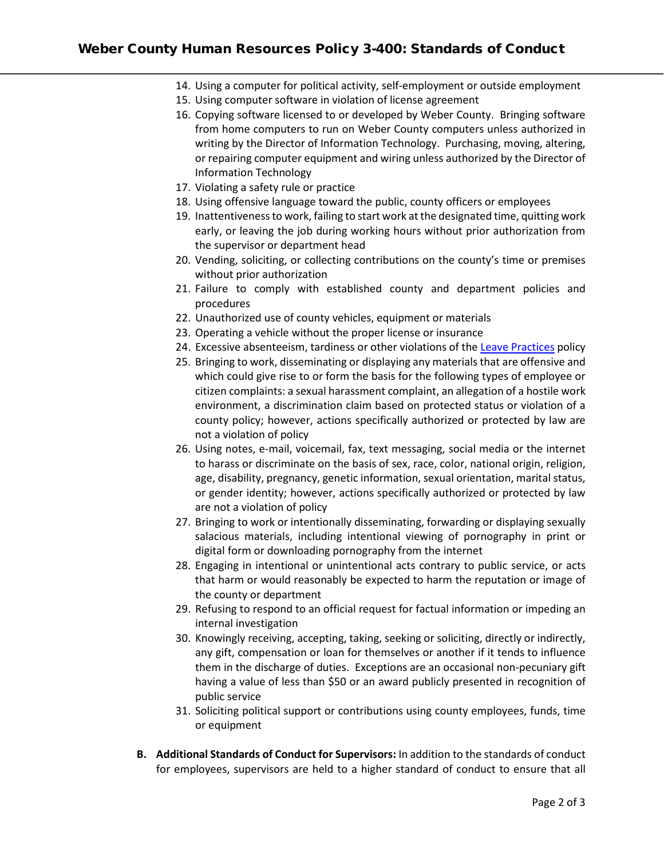# Weber County Human Resources Policy 3-400: Standards of Conduct

- 14. Using a computer for political activity, self-employment or outside employment
- 15. Using computer software in violation of license agreement
- 16. Copying software licensed to or developed by Weber County. Bringing software from home computers to run on Weber County computers unless authorized in writing by the Director of Information Technology. Purchasing, moving, altering, or repairing computer equipment and wiring unless authorized by the Director of Information Technology
- 17. Violating a safety rule or practice
- 18. Using offensive language toward the public, county officers or employees
- 19. Inattentiveness to work, failing to start work at the designated time, quitting work early, or leaving the job during working hours without prior authorization from the supervisor or department head
- 20. Vending, soliciting, or collecting contributions on the county's time or premises without prior authorization
- 21. Failure to comply with established county and department policies and procedures
- 22. Unauthorized use of county vehicles, equipment or materials
- 23. Operating a vehicle without the proper license or insurance
- 24. Excessive absenteeism, tardiness or other violations of the [Leave Practices](http://www.webercountyutah.gov/HR/policies/4-200%20Leave%20Practices.pdf) policy
- 25. Bringing to work, disseminating or displaying any materials that are offensive and which could give rise to or form the basis for the following types of employee or citizen complaints: a sexual harassment complaint, an allegation of a hostile work environment, a discrimination claim based on protected status or violation of a county policy; however, actions specifically authorized or protected by law are not a violation of policy
- 26. Using notes, e-mail, voicemail, fax, text messaging, social media or the internet to harass or discriminate on the basis of sex, race, color, national origin, religion, age, disability, pregnancy, genetic information, sexual orientation, marital status, or gender identity; however, actions specifically authorized or protected by law are not a violation of policy
- 27. Bringing to work or intentionally disseminating, forwarding or displaying sexually salacious materials, including intentional viewing of pornography in print or digital form or downloading pornography from the internet
- 28. Engaging in intentional or unintentional acts contrary to public service, or acts that harm or would reasonably be expected to harm the reputation or image of the county or department
- 29. Refusing to respond to an official request for factual information or impeding an internal investigation
- 30. Knowingly receiving, accepting, taking, seeking or soliciting, directly or indirectly, any gift, compensation or loan for themselves or another if it tends to influence them in the discharge of duties. Exceptions are an occasional non-pecuniary gift having a value of less than \$50 or an award publicly presented in recognition of public service
- 31. Soliciting political support or contributions using county employees, funds, time or equipment
- **B. Additional Standards of Conduct for Supervisors:** In addition to the standards of conduct for employees, supervisors are held to a higher standard of conduct to ensure that all